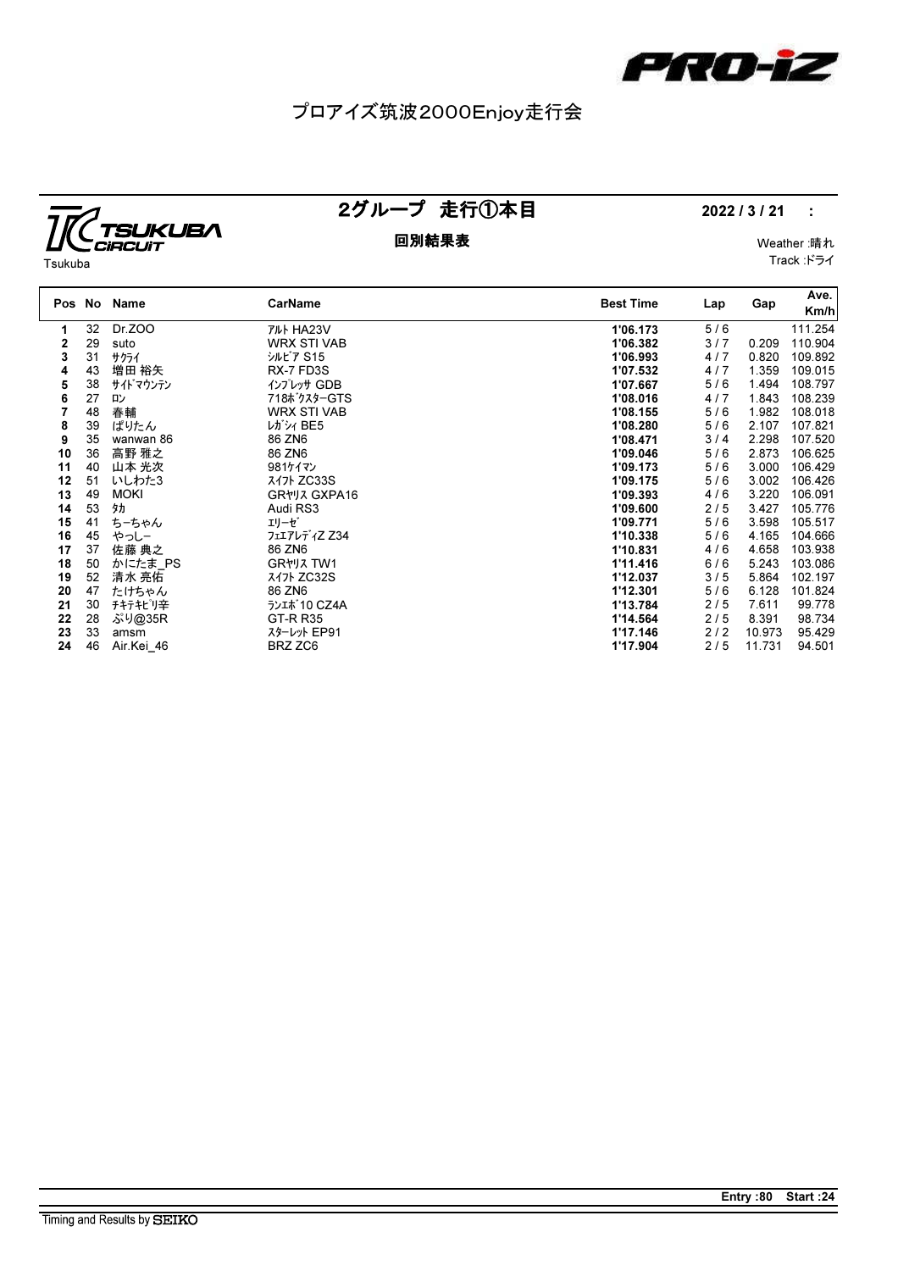

### プロアイズ筑波2000Enjoy走行会

# **TC**TSUKUBA

### 2グループ 走行①本目 2022/3/21 :

Track :ドライ

| Tsukuba |  |
|---------|--|

## 回別結果表 Weather :晴れ

| Pos No |    | Name        | <b>CarName</b>         | <b>Best Time</b> | Lap   | Gap    | Ave.<br>Km/h |
|--------|----|-------------|------------------------|------------------|-------|--------|--------------|
| 1      | 32 | Dr.ZOO      | <b>TILL HA23V</b>      | 1'06.173         | 5/6   |        | 111.254      |
| 2      | 29 | suto        | <b>WRX STI VAB</b>     | 1'06.382         | 3/7   | 0.209  | 110.904      |
| 3      | 31 | サクライ        | シルビア S15               | 1'06.993         | 4/7   | 0.820  | 109.892      |
| 4      | 43 | 増田 裕矢       | RX-7 FD3S              | 1'07.532         | 4/7   | 1.359  | 109.015      |
| 5      | 38 | サイドマウンテン    | インプレッサ GDB             | 1'07.667         | 5/6   | 1.494  | 108.797      |
| 6      | 27 | 心           | 718ボクスターGTS            | 1'08.016         | 4/7   | 1.843  | 108.239      |
| 7      | 48 | 春輔          | <b>WRX STI VAB</b>     | 1'08.155         | 5/6   | 1.982  | 108.018      |
| 8      | 39 | ぱりたん        | レガシィ BE5               | 1'08.280         | 5/6   | 2.107  | 107.821      |
| 9      | 35 | wanwan 86   | 86 ZN6                 | 1'08.471         | 3/4   | 2.298  | 107.520      |
| 10     | 36 | 高野 雅之       | 86 ZN6                 | 1'09.046         | 5/6   | 2.873  | 106.625      |
| 11     | 40 | 山本 光次       | 981ケイマン                | 1'09.173         | 5/6   | 3.000  | 106.429      |
| 12     | 51 | いしわた3       | スイ가 ZC33S              | 1'09.175         | 5/6   | 3.002  | 106.426      |
| 13     | 49 | <b>MOKI</b> | GR*J7 GXPA16           | 1'09.393         | 4/6   | 3.220  | 106.091      |
| 14     | 53 | 外           | Audi RS3               | 1'09.600         | 2/5   | 3.427  | 105.776      |
| 15     | 41 | ちーちゃん       | エリーゼ゛                  | 1'09.771         | 5/6   | 3.598  | 105.517      |
| 16     | 45 | やっしー        | フェエアレディZ Z34           | 1'10.338         | 5/6   | 4.165  | 104.666      |
| 17     | 37 | 佐藤 典之       | 86 ZN6                 | 1'10.831         | 4/6   | 4.658  | 103.938      |
| 18     | 50 | かにたま PS     | GR <sub>*</sub> 1, TW1 | 1'11.416         | $6/6$ | 5.243  | 103.086      |
| 19     | 52 | 清水 亮佑       | スイ가 ZC32S              | 1'12.037         | 3/5   | 5.864  | 102.197      |
| 20     | 47 | たけちゃん       | 86 ZN6                 | 1'12.301         | 5/6   | 6.128  | 101.824      |
| 21     | 30 | チキテキピリ辛     | ランエポ 10 CZ4A           | 1'13.784         | 2/5   | 7.611  | 99.778       |
| 22     | 28 | ぷり@35R      | <b>GT-R R35</b>        | 1'14.564         | 2/5   | 8.391  | 98.734       |
| 23     | 33 | amsm        | スターレット EP91            | 1'17.146         | $2/2$ | 10.973 | 95.429       |
| 24     | 46 | Air.Kei 46  | BRZ ZC6                | 1'17.904         | 2/5   | 11.731 | 94.501       |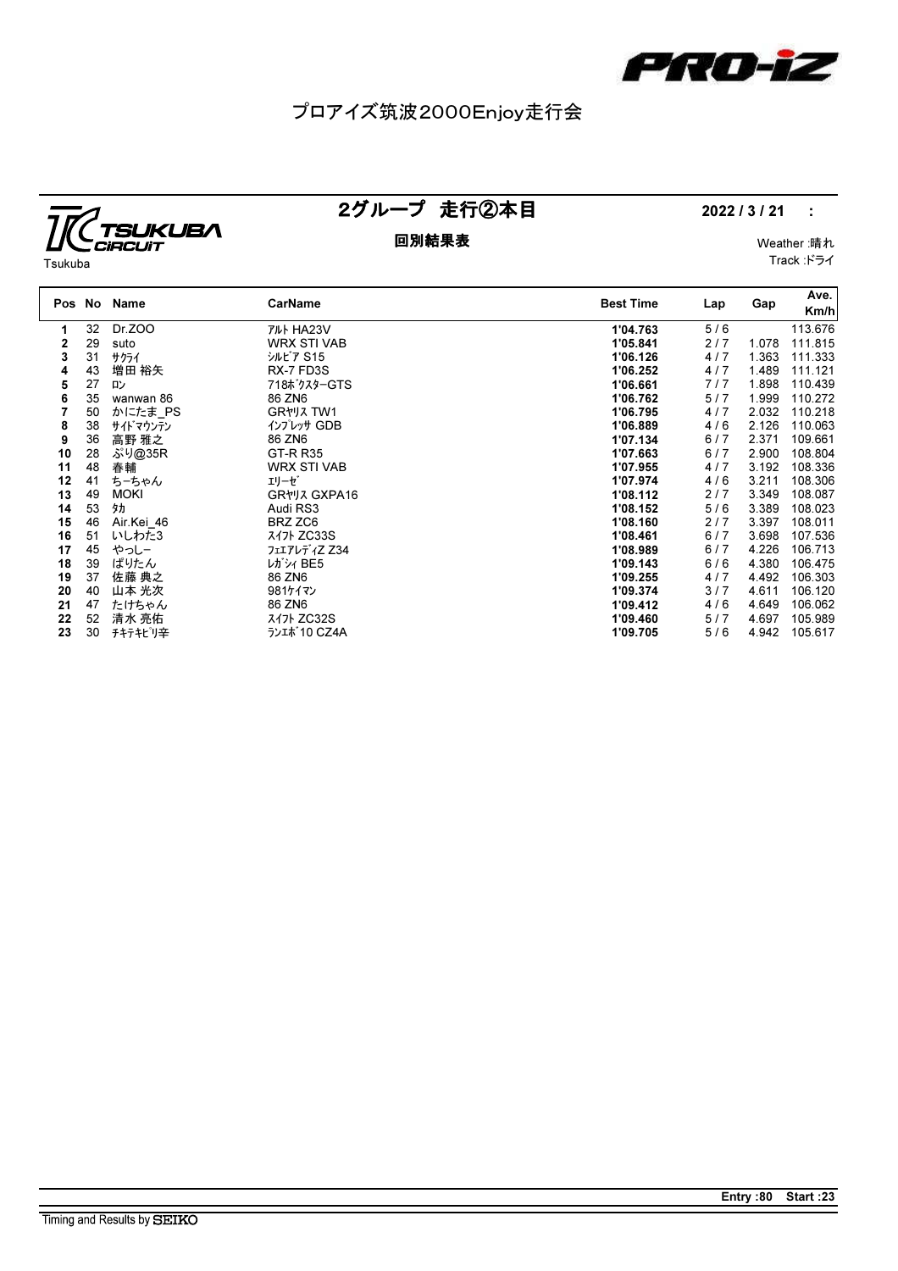

### プロアイズ筑波2000Enjoy走行会

## *IC TSUKUBA*

### 回別結果表 Weather :晴れ

### 2グループ 走行②本目 2022/3/21 :

Track :ドライ

| Tsukuba |  |
|---------|--|

|    |    | Pos No Name | CarName                             | <b>Best Time</b> | Lap   | Gap   | Ave.<br>Km/h |
|----|----|-------------|-------------------------------------|------------------|-------|-------|--------------|
| 1. | 32 | Dr.ZOO      | アルト HA23V                           | 1'04.763         | 5/6   |       | 113.676      |
| 2  | 29 | suto        | <b>WRX STI VAB</b>                  | 1'05.841         | 2/7   | 1.078 | 111.815      |
| 3  | 31 | サクライ        | シルビア S15                            | 1'06.126         | 4/7   | 1.363 | 111.333      |
| 4  | 43 | 増田 裕矢       | RX-7 FD3S                           | 1'06.252         | 4/7   | 1.489 | 111.121      |
| 5  | 27 | ロン          | 718ボクスターGTS                         | 1'06.661         | 7/7   | 1.898 | 110.439      |
| 6  | 35 | wanwan 86   | 86 ZN6                              | 1'06.762         | 5/7   | 1.999 | 110.272      |
|    | 50 | かにたま PS     | GR <sub>*</sub> VJ <sub>3</sub> TW1 | 1'06.795         | 4/7   | 2.032 | 110.218      |
| 8  | 38 | サイト゛マウンテン   | インプレッサ GDB                          | 1'06.889         | 4/6   | 2.126 | 110.063      |
| 9  | 36 | 高野 雅之       | 86 ZN6                              | 1'07.134         | 6/7   | 2.371 | 109.661      |
| 10 | 28 | ぷり@35R      | <b>GT-R R35</b>                     | 1'07.663         | 6/7   | 2.900 | 108.804      |
| 11 | 48 | 春輔          | <b>WRX STI VAB</b>                  | 1'07.955         | 4/7   | 3.192 | 108.336      |
| 12 | 41 | ちーちゃん       | エリーゼ゛                               | 1'07.974         | 4/6   | 3.211 | 108.306      |
| 13 | 49 | <b>MOKI</b> | GR*J7 GXPA16                        | 1'08.112         | 2/7   | 3.349 | 108.087      |
| 14 | 53 | 外           | Audi RS3                            | 1'08.152         | 5/6   | 3.389 | 108.023      |
| 15 | 46 | Air.Kei 46  | BRZ ZC6                             | 1'08.160         | 2/7   | 3.397 | 108.011      |
| 16 | 51 | いしわた3       | スイフト ZC33S                          | 1'08.461         | 6/7   | 3.698 | 107.536      |
| 17 | 45 | やっしー        | フェエアレディZ Z34                        | 1'08.989         | 6/7   | 4.226 | 106.713      |
| 18 | 39 | ぱりたん        | レガシィ BE5                            | 1'09.143         | $6/6$ | 4.380 | 106.475      |
| 19 | 37 | 佐藤 典之       | 86 ZN6                              | 1'09.255         | 4/7   | 4.492 | 106.303      |
| 20 | 40 | 山本 光次       | 981ケイマン                             | 1'09.374         | 3/7   | 4.611 | 106.120      |
| 21 | 47 | たけちゃん       | 86 ZN6                              | 1'09.412         | 4/6   | 4.649 | 106.062      |
| 22 | 52 | 清水 亮佑       | スイ가 ZC32S                           | 1'09.460         | 5/7   | 4.697 | 105.989      |
| 23 | 30 | チキテキピリ辛     | ランエポ 10 CZ4A                        | 1'09.705         | 5/6   | 4.942 | 105.617      |